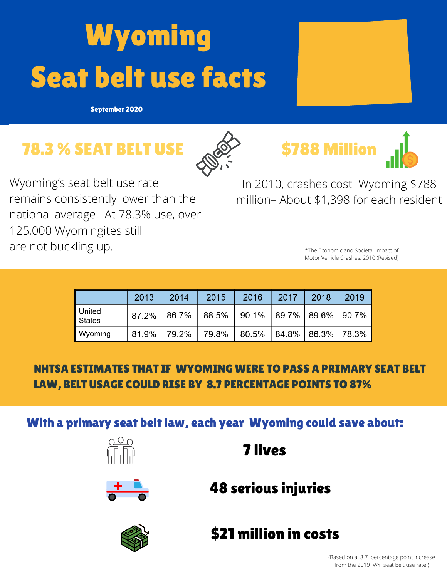## **Wyoming** Seat belt use facts

September 2020

## 78.3 % SEAT BELT USE





In 2010, crashes cost Wyoming \$788 million– About \$1,398 for each resident

\$788 Million

\*The Economic and Societal Impact of Motor Vehicle Crashes, 2010 (Revised)

|                         | 2013  | 2014  | 2015          | 2016                                  | 2017 | 2018                    | 2019 |
|-------------------------|-------|-------|---------------|---------------------------------------|------|-------------------------|------|
| United<br><b>States</b> | 87.2% |       | 86.7%   88.5% | $\vert$ 90.1%   89.7%   89.6%   90.7% |      |                         |      |
| Wyoming                 | 81.9% | 79.2% | 79.8%         | 80.5%                                 |      | $ 84.8\% 86.3\% 78.3\%$ |      |

## NHTSA ESTIMATES THAT IF WYOMING WERE TO PASS A PRIMARY SEAT BELT LAW, BELT USAGE COULD RISE BY 8.7 PERCENTAGE POINTS TO 87%

With a primary seat belt law, each year Wyoming could save about:





## 48 serious injuries

7 lives



\$21 million in costs